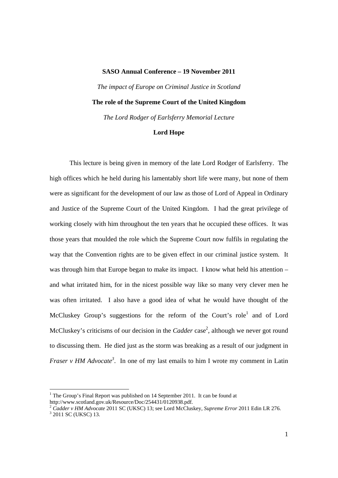## **SASO Annual Conference – 19 November 2011**

*The impact of Europe on Criminal Justice in Scotland* 

## **The role of the Supreme Court of the United Kingdom**

*The Lord Rodger of Earlsferry Memorial Lecture* 

## **Lord Hope**

This lecture is being given in memory of the late Lord Rodger of Earlsferry. The high offices which he held during his lamentably short life were many, but none of them were as significant for the development of our law as those of Lord of Appeal in Ordinary and Justice of the Supreme Court of the United Kingdom. I had the great privilege of working closely with him throughout the ten years that he occupied these offices. It was those years that moulded the role which the Supreme Court now fulfils in regulating the way that the Convention rights are to be given effect in our criminal justice system. It was through him that Europe began to make its impact. I know what held his attention – and what irritated him, for in the nicest possible way like so many very clever men he was often irritated. I also have a good idea of what he would have thought of the McCluskey Group's suggestions for the reform of the Court's role<sup>1</sup> and of Lord McCluskey's criticisms of our decision in the *Cadder* case<sup>2</sup>, although we never got round to discussing them. He died just as the storm was breaking as a result of our judgment in *Fraser v HM Advocate*<sup>3</sup>. In one of my last emails to him I wrote my comment in Latin

 1 The Group's Final Report was published on 14 September 2011. It can be found at http://www.scotland.gov.uk/Resource/Doc/254431/0120938.pdf.

<sup>&</sup>lt;sup>2</sup> Cadder v HM Advocate 2011 SC (UKSC) 13; see Lord McCluskey, *Supreme Error* 2011 Edin LR 276.  $3$  2011 SC (UKSC) 13.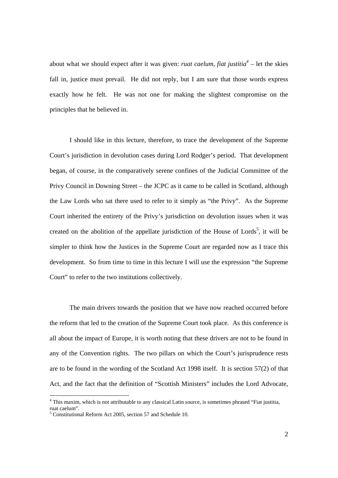about what we should expect after it was given: *ruat caelum, fiat justitia<sup>4</sup>* – let the skies fall in, justice must prevail. He did not reply, but I am sure that those words express exactly how he felt. He was not one for making the slightest compromise on the principles that he believed in.

I should like in this lecture, therefore, to trace the development of the Supreme Court's jurisdiction in devolution cases during Lord Rodger's period. That development began, of course, in the comparatively serene confines of the Judicial Committee of the Privy Council in Downing Street – the JCPC as it came to be called in Scotland, although the Law Lords who sat there used to refer to it simply as "the Privy". As the Supreme Court inherited the entirety of the Privy's jurisdiction on devolution issues when it was created on the abolition of the appellate jurisdiction of the House of Lords<sup>5</sup>, it will be simpler to think how the Justices in the Supreme Court are regarded now as I trace this development. So from time to time in this lecture I will use the expression "the Supreme Court" to refer to the two institutions collectively.

The main drivers towards the position that we have now reached occurred before the reform that led to the creation of the Supreme Court took place. As this conference is all about the impact of Europe, it is worth noting that these drivers are not to be found in any of the Convention rights. The two pillars on which the Court's jurisprudence rests are to be found in the wording of the Scotland Act 1998 itself. It is section 57(2) of that Act, and the fact that the definition of "Scottish Ministers" includes the Lord Advocate,

<sup>&</sup>lt;sup>4</sup> This maxim, which is not attributable to any classical Latin source, is sometimes phrased "Fiat justitia, ruat caelum".

<sup>&</sup>lt;sup>5</sup> Constitutional Reform Act 2005, section 57 and Schedule 10.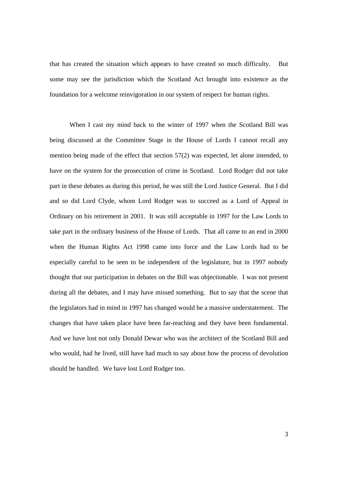that has created the situation which appears to have created so much difficulty. But some may see the jurisdiction which the Scotland Act brought into existence as the foundation for a welcome reinvigoration in our system of respect for human rights.

When I cast my mind back to the winter of 1997 when the Scotland Bill was being discussed at the Committee Stage in the House of Lords I cannot recall any mention being made of the effect that section 57(2) was expected, let alone intended, to have on the system for the prosecution of crime in Scotland. Lord Rodger did not take part in these debates as during this period, he was still the Lord Justice General. But I did and so did Lord Clyde, whom Lord Rodger was to succeed as a Lord of Appeal in Ordinary on his retirement in 2001. It was still acceptable in 1997 for the Law Lords to take part in the ordinary business of the House of Lords. That all came to an end in 2000 when the Human Rights Act 1998 came into force and the Law Lords had to be especially careful to be seen to be independent of the legislature, but in 1997 nobody thought that our participation in debates on the Bill was objectionable. I was not present during all the debates, and I may have missed something. But to say that the scene that the legislators had in mind in 1997 has changed would be a massive understatement. The changes that have taken place have been far-reaching and they have been fundamental. And we have lost not only Donald Dewar who was the architect of the Scotland Bill and who would, had he lived, still have had much to say about how the process of devolution should be handled. We have lost Lord Rodger too.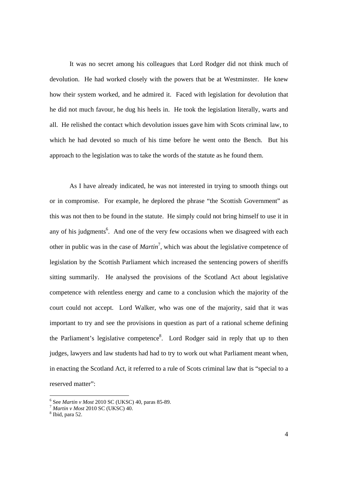It was no secret among his colleagues that Lord Rodger did not think much of devolution. He had worked closely with the powers that be at Westminster. He knew how their system worked, and he admired it. Faced with legislation for devolution that he did not much favour, he dug his heels in. He took the legislation literally, warts and all. He relished the contact which devolution issues gave him with Scots criminal law, to which he had devoted so much of his time before he went onto the Bench. But his approach to the legislation was to take the words of the statute as he found them.

As I have already indicated, he was not interested in trying to smooth things out or in compromise. For example, he deplored the phrase "the Scottish Government" as this was not then to be found in the statute. He simply could not bring himself to use it in any of his judgments<sup>6</sup>. And one of the very few occasions when we disagreed with each other in public was in the case of *Martin*<sup>7</sup> , which was about the legislative competence of legislation by the Scottish Parliament which increased the sentencing powers of sheriffs sitting summarily. He analysed the provisions of the Scotland Act about legislative competence with relentless energy and came to a conclusion which the majority of the court could not accept. Lord Walker, who was one of the majority, said that it was important to try and see the provisions in question as part of a rational scheme defining the Parliament's legislative competence<sup>8</sup>. Lord Rodger said in reply that up to then judges, lawyers and law students had had to try to work out what Parliament meant when, in enacting the Scotland Act, it referred to a rule of Scots criminal law that is "special to a reserved matter":

<sup>&</sup>lt;sup>6</sup> See Martin v Most 2010 SC (UKSC) 40, paras 85-89.

*Martin v Most* 2010 SC (UKSC) 40.

 $8$  Ibid, para 52.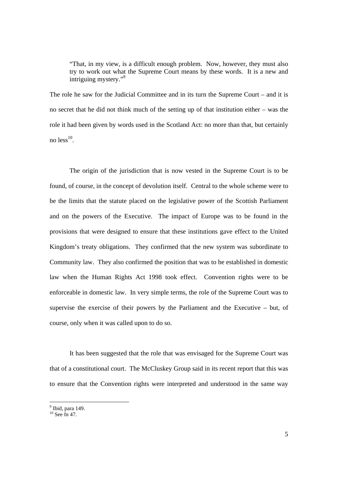"That, in my view, is a difficult enough problem. Now, however, they must also try to work out what the Supreme Court means by these words. It is a new and intriguing mystery."9

The role he saw for the Judicial Committee and in its turn the Supreme Court – and it is no secret that he did not think much of the setting up of that institution either – was the role it had been given by words used in the Scotland Act: no more than that, but certainly no  $less<sup>10</sup>$ .

The origin of the jurisdiction that is now vested in the Supreme Court is to be found, of course, in the concept of devolution itself. Central to the whole scheme were to be the limits that the statute placed on the legislative power of the Scottish Parliament and on the powers of the Executive. The impact of Europe was to be found in the provisions that were designed to ensure that these institutions gave effect to the United Kingdom's treaty obligations. They confirmed that the new system was subordinate to Community law. They also confirmed the position that was to be established in domestic law when the Human Rights Act 1998 took effect. Convention rights were to be enforceable in domestic law. In very simple terms, the role of the Supreme Court was to supervise the exercise of their powers by the Parliament and the Executive – but, of course, only when it was called upon to do so.

It has been suggested that the role that was envisaged for the Supreme Court was that of a constitutional court. The McCluskey Group said in its recent report that this was to ensure that the Convention rights were interpreted and understood in the same way

<sup>&</sup>lt;sup>9</sup> Ibid, para 149.

 $10$  See fn 47.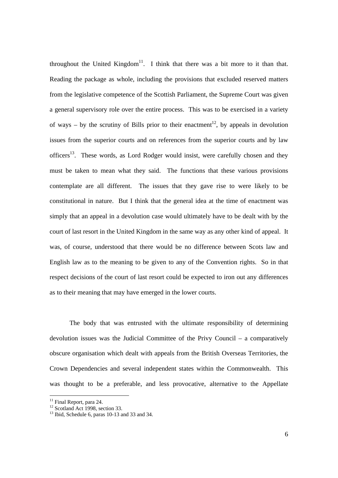throughout the United Kingdom<sup>11</sup>. I think that there was a bit more to it than that. Reading the package as whole, including the provisions that excluded reserved matters from the legislative competence of the Scottish Parliament, the Supreme Court was given a general supervisory role over the entire process. This was to be exercised in a variety of ways – by the scrutiny of Bills prior to their enactment<sup>12</sup>, by appeals in devolution issues from the superior courts and on references from the superior courts and by law officers<sup>13</sup>. These words, as Lord Rodger would insist, were carefully chosen and they must be taken to mean what they said. The functions that these various provisions contemplate are all different. The issues that they gave rise to were likely to be constitutional in nature. But I think that the general idea at the time of enactment was simply that an appeal in a devolution case would ultimately have to be dealt with by the court of last resort in the United Kingdom in the same way as any other kind of appeal. It was, of course, understood that there would be no difference between Scots law and English law as to the meaning to be given to any of the Convention rights. So in that respect decisions of the court of last resort could be expected to iron out any differences as to their meaning that may have emerged in the lower courts.

The body that was entrusted with the ultimate responsibility of determining devolution issues was the Judicial Committee of the Privy Council – a comparatively obscure organisation which dealt with appeals from the British Overseas Territories, the Crown Dependencies and several independent states within the Commonwealth. This was thought to be a preferable, and less provocative, alternative to the Appellate

<sup>&</sup>lt;sup>11</sup> Final Report, para 24.

<sup>&</sup>lt;sup>12</sup> Scotland Act 1998, section 33.

 $13$  Ibid, Schedule 6, paras 10-13 and 33 and 34.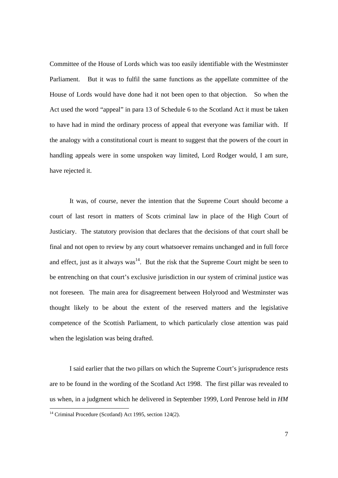Committee of the House of Lords which was too easily identifiable with the Westminster Parliament. But it was to fulfil the same functions as the appellate committee of the House of Lords would have done had it not been open to that objection. So when the Act used the word "appeal" in para 13 of Schedule 6 to the Scotland Act it must be taken to have had in mind the ordinary process of appeal that everyone was familiar with. If the analogy with a constitutional court is meant to suggest that the powers of the court in handling appeals were in some unspoken way limited, Lord Rodger would, I am sure, have rejected it.

It was, of course, never the intention that the Supreme Court should become a court of last resort in matters of Scots criminal law in place of the High Court of Justiciary. The statutory provision that declares that the decisions of that court shall be final and not open to review by any court whatsoever remains unchanged and in full force and effect, just as it always  $was<sup>14</sup>$ . But the risk that the Supreme Court might be seen to be entrenching on that court's exclusive jurisdiction in our system of criminal justice was not foreseen. The main area for disagreement between Holyrood and Westminster was thought likely to be about the extent of the reserved matters and the legislative competence of the Scottish Parliament, to which particularly close attention was paid when the legislation was being drafted.

I said earlier that the two pillars on which the Supreme Court's jurisprudence rests are to be found in the wording of the Scotland Act 1998. The first pillar was revealed to us when, in a judgment which he delivered in September 1999, Lord Penrose held in *HM* 

 $\overline{a}$ 

 $14$  Criminal Procedure (Scotland) Act 1995, section 124(2).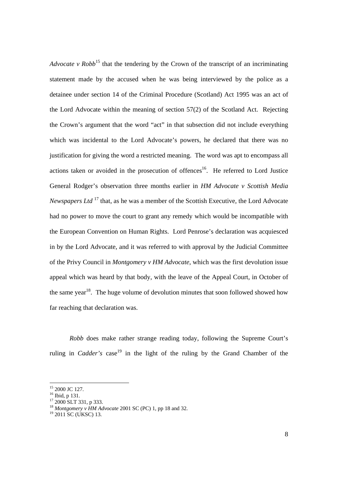*Advocate v Robb*<sup>15</sup> that the tendering by the Crown of the transcript of an incriminating statement made by the accused when he was being interviewed by the police as a detainee under section 14 of the Criminal Procedure (Scotland) Act 1995 was an act of the Lord Advocate within the meaning of section 57(2) of the Scotland Act. Rejecting the Crown's argument that the word "act" in that subsection did not include everything which was incidental to the Lord Advocate's powers, he declared that there was no justification for giving the word a restricted meaning. The word was apt to encompass all actions taken or avoided in the prosecution of offences<sup>16</sup>. He referred to Lord Justice General Rodger's observation three months earlier in *HM Advocate v Scottish Media Newspapers Ltd*<sup>17</sup> that, as he was a member of the Scottish Executive, the Lord Advocate had no power to move the court to grant any remedy which would be incompatible with the European Convention on Human Rights. Lord Penrose's declaration was acquiesced in by the Lord Advocate, and it was referred to with approval by the Judicial Committee of the Privy Council in *Montgomery v HM Advocate*, which was the first devolution issue appeal which was heard by that body, with the leave of the Appeal Court, in October of the same year<sup>18</sup>. The huge volume of devolution minutes that soon followed showed how far reaching that declaration was.

*Robb* does make rather strange reading today, following the Supreme Court's ruling in *Cadder's* case<sup>19</sup> in the light of the ruling by the Grand Chamber of the

<sup>&</sup>lt;sup>15</sup> 2000 JC 127.

<sup>&</sup>lt;sup>16</sup> Ibid, p 131.

<sup>&</sup>lt;sup>17</sup> 2000 SLT 331, p 333.

<sup>&</sup>lt;sup>18</sup> *Montgomery v HM Advocate* 2001 SC (PC) 1, pp 18 and 32.<br><sup>19</sup> 2011 SC (UKSC) 13.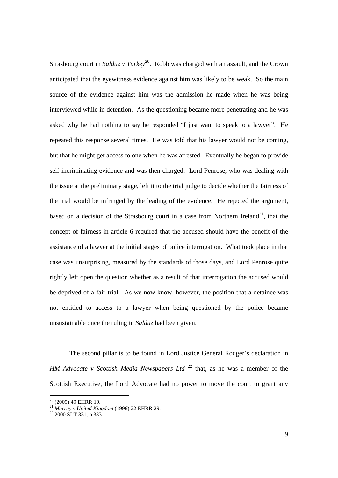Strasbourg court in *Salduz v Turkey*<sup>20</sup>. Robb was charged with an assault, and the Crown anticipated that the eyewitness evidence against him was likely to be weak. So the main source of the evidence against him was the admission he made when he was being interviewed while in detention. As the questioning became more penetrating and he was asked why he had nothing to say he responded "I just want to speak to a lawyer". He repeated this response several times. He was told that his lawyer would not be coming, but that he might get access to one when he was arrested. Eventually he began to provide self-incriminating evidence and was then charged. Lord Penrose, who was dealing with the issue at the preliminary stage, left it to the trial judge to decide whether the fairness of the trial would be infringed by the leading of the evidence. He rejected the argument, based on a decision of the Strasbourg court in a case from Northern Ireland<sup>21</sup>, that the concept of fairness in article 6 required that the accused should have the benefit of the assistance of a lawyer at the initial stages of police interrogation. What took place in that case was unsurprising, measured by the standards of those days, and Lord Penrose quite rightly left open the question whether as a result of that interrogation the accused would be deprived of a fair trial. As we now know, however, the position that a detainee was not entitled to access to a lawyer when being questioned by the police became unsustainable once the ruling in *Salduz* had been given.

The second pillar is to be found in Lord Justice General Rodger's declaration in *HM Advocate v Scottish Media Newspapers Ltd*<sup>22</sup> that, as he was a member of the Scottish Executive, the Lord Advocate had no power to move the court to grant any

 $20$  (2009) 49 EHRR 19.

<sup>&</sup>lt;sup>21</sup> Murray v United Kingdom (1996) 22 EHRR 29.<br><sup>22</sup> 2000 SLT 331, p 333.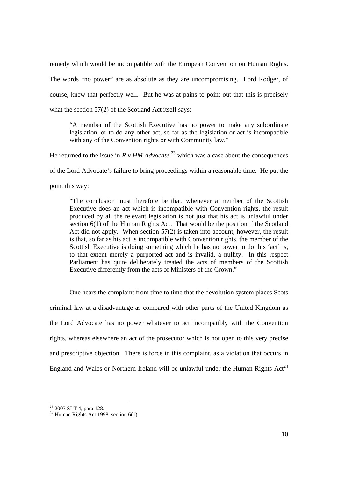remedy which would be incompatible with the European Convention on Human Rights. The words "no power" are as absolute as they are uncompromising. Lord Rodger, of course, knew that perfectly well. But he was at pains to point out that this is precisely what the section 57(2) of the Scotland Act itself says:

"A member of the Scottish Executive has no power to make any subordinate legislation, or to do any other act, so far as the legislation or act is incompatible with any of the Convention rights or with Community law."

He returned to the issue in  $R \nu H M$  *Advocate*<sup>23</sup> which was a case about the consequences of the Lord Advocate's failure to bring proceedings within a reasonable time. He put the point this way:

"The conclusion must therefore be that, whenever a member of the Scottish Executive does an act which is incompatible with Convention rights, the result produced by all the relevant legislation is not just that his act is unlawful under section 6(1) of the Human Rights Act. That would be the position if the Scotland Act did not apply. When section 57(2) is taken into account, however, the result is that, so far as his act is incompatible with Convention rights, the member of the Scottish Executive is doing something which he has no power to do: his 'act' is, to that extent merely a purported act and is invalid, a nullity. In this respect Parliament has quite deliberately treated the acts of members of the Scottish Executive differently from the acts of Ministers of the Crown."

One hears the complaint from time to time that the devolution system places Scots criminal law at a disadvantage as compared with other parts of the United Kingdom as the Lord Advocate has no power whatever to act incompatibly with the Convention rights, whereas elsewhere an act of the prosecutor which is not open to this very precise and prescriptive objection. There is force in this complaint, as a violation that occurs in England and Wales or Northern Ireland will be unlawful under the Human Rights  $Act^{24}$ 

<sup>&</sup>lt;sup>23</sup> 2003 SLT 4, para 128.

<sup>&</sup>lt;sup>24</sup> Human Rights Act 1998, section 6(1).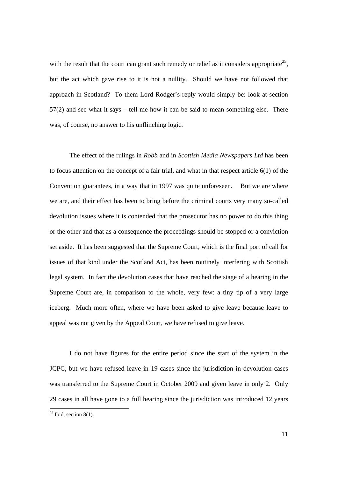with the result that the court can grant such remedy or relief as it considers appropriate<sup>25</sup>, but the act which gave rise to it is not a nullity. Should we have not followed that approach in Scotland? To them Lord Rodger's reply would simply be: look at section 57(2) and see what it says – tell me how it can be said to mean something else. There was, of course, no answer to his unflinching logic.

The effect of the rulings in *Robb* and in *Scottish Media Newspapers Ltd* has been to focus attention on the concept of a fair trial, and what in that respect article 6(1) of the Convention guarantees, in a way that in 1997 was quite unforeseen. But we are where we are, and their effect has been to bring before the criminal courts very many so-called devolution issues where it is contended that the prosecutor has no power to do this thing or the other and that as a consequence the proceedings should be stopped or a conviction set aside. It has been suggested that the Supreme Court, which is the final port of call for issues of that kind under the Scotland Act, has been routinely interfering with Scottish legal system. In fact the devolution cases that have reached the stage of a hearing in the Supreme Court are, in comparison to the whole, very few: a tiny tip of a very large iceberg. Much more often, where we have been asked to give leave because leave to appeal was not given by the Appeal Court, we have refused to give leave.

I do not have figures for the entire period since the start of the system in the JCPC, but we have refused leave in 19 cases since the jurisdiction in devolution cases was transferred to the Supreme Court in October 2009 and given leave in only 2. Only 29 cases in all have gone to a full hearing since the jurisdiction was introduced 12 years

 $\overline{a}$ 

 $25$  Ibid, section 8(1).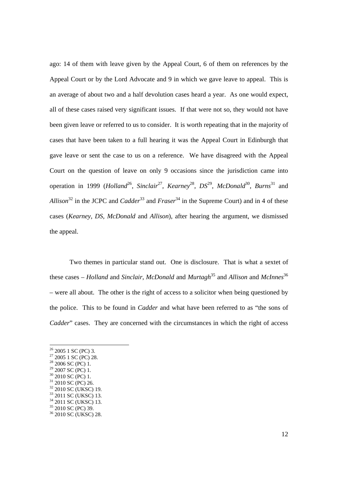ago: 14 of them with leave given by the Appeal Court, 6 of them on references by the Appeal Court or by the Lord Advocate and 9 in which we gave leave to appeal. This is an average of about two and a half devolution cases heard a year. As one would expect, all of these cases raised very significant issues. If that were not so, they would not have been given leave or referred to us to consider. It is worth repeating that in the majority of cases that have been taken to a full hearing it was the Appeal Court in Edinburgh that gave leave or sent the case to us on a reference. We have disagreed with the Appeal Court on the question of leave on only 9 occasions since the jurisdiction came into operation in 1999 (*Holland*26, *Sinclair*27, *Kearney*28, *DS*29, *McDonald*30, *Burns*<sup>31</sup> and *Allison*<sup>32</sup> in the JCPC and *Cadder*<sup>33</sup> and *Fraser*<sup>34</sup> in the Supreme Court) and in 4 of these cases (*Kearney*, *DS*, *McDonald* and *Allison*), after hearing the argument, we dismissed the appeal.

Two themes in particular stand out. One is disclosure. That is what a sextet of these cases – *Holland* and *Sinclair*, *McDonald* and *Murtagh*35 and *Allison* and *McInnes*<sup>36</sup> – were all about. The other is the right of access to a solicitor when being questioned by the police. This to be found in *Cadder* and what have been referred to as "the sons of *Cadder*" cases. They are concerned with the circumstances in which the right of access

 $26$  2005 1 SC (PC) 3.

 $27\ 2005\ 1\ \text{SC}$  (PC) 28.

 $28\,2006\,$  SC (PC) 1.

 $29\,2007\,$  SC (PC) 1.

 $30$  2010 SC (PC) 1.

<sup>&</sup>lt;sup>31</sup> 2010 SC (PC) 26.

<sup>32 2010</sup> SC (UKSC) 19.

<sup>&</sup>lt;sup>33</sup> 2011 SC (UKSC) 13.

<sup>&</sup>lt;sup>34</sup> 2011 SC (UKSC) 13.

<sup>&</sup>lt;sup>35</sup> 2010 SC (PC) 39.

<sup>36 2010</sup> SC (UKSC) 28.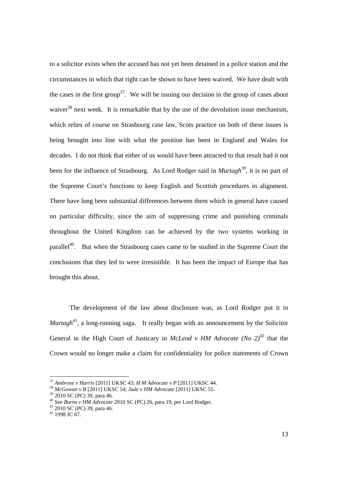to a solicitor exists when the accused has not yet been detained in a police station and the circumstances in which that right can be shown to have been waived. We have dealt with the cases in the first group<sup>37</sup>. We will be issuing our decision in the group of cases about waiver $38$  next week. It is remarkable that by the use of the devolution issue mechanism, which relies of course on Strasbourg case law, Scots practice on both of these issues is being brought into line with what the position has been in England and Wales for decades. I do not think that either of us would have been attracted to that result had it not been for the influence of Strasbourg. As Lord Rodger said in *Murtagh*<sup>39</sup>, it is no part of the Supreme Court's functions to keep English and Scottish procedures in alignment. There have long been substantial differences between them which in general have caused no particular difficulty, since the aim of suppressing crime and punishing criminals throughout the United Kingdom can be achieved by the two systems working in parallel<sup>40</sup>. But when the Strasbourg cases came to be studied in the Supreme Court the conclusions that they led to were irresistible. It has been the impact of Europe that has brought this about.

The development of the law about disclosure was, as Lord Rodger put it in *Murtagh*<sup>41</sup>, a long-running saga. It really began with an announcement by the Solicitor General in the High Court of Justicary in *McLeod v HM Advocate* (No  $2)^{42}$  that the Crown would no longer make a claim for confidentiality for police statements of Crown

<sup>37</sup> *Ambrose v Harris* [2011] UKSC 43; *H M Advocate v P* [2011] UKSC 44. 38 *McGowan v B* [2011] UKSC 54; *Jude v HM Advocate* [2011] UKSC 55. 39 2010 SC (PC) 39, para 46.

<sup>40</sup> See *Burns v HM Advocate* 2010 SC (PC) 26, para 19, per Lord Rodger. 41 2010 SC (PC) 39, para 46.

 $42$  1998 JC 67.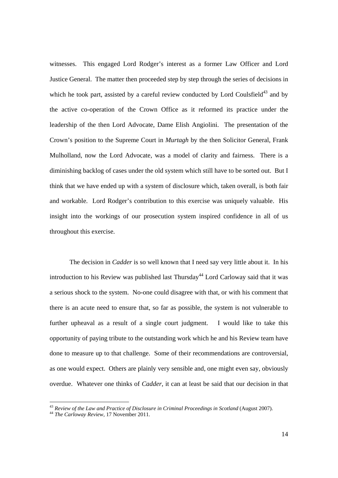witnesses. This engaged Lord Rodger's interest as a former Law Officer and Lord Justice General. The matter then proceeded step by step through the series of decisions in which he took part, assisted by a careful review conducted by Lord Coulsfield<sup>43</sup> and by the active co-operation of the Crown Office as it reformed its practice under the leadership of the then Lord Advocate, Dame Elish Angiolini. The presentation of the Crown's position to the Supreme Court in *Murtagh* by the then Solicitor General, Frank Mulholland, now the Lord Advocate, was a model of clarity and fairness. There is a diminishing backlog of cases under the old system which still have to be sorted out. But I think that we have ended up with a system of disclosure which, taken overall, is both fair and workable. Lord Rodger's contribution to this exercise was uniquely valuable. His insight into the workings of our prosecution system inspired confidence in all of us throughout this exercise.

The decision in *Cadder* is so well known that I need say very little about it. In his introduction to his Review was published last Thursday<sup>44</sup> Lord Carloway said that it was a serious shock to the system. No-one could disagree with that, or with his comment that there is an acute need to ensure that, so far as possible, the system is not vulnerable to further upheaval as a result of a single court judgment. I would like to take this opportunity of paying tribute to the outstanding work which he and his Review team have done to measure up to that challenge. Some of their recommendations are controversial, as one would expect. Others are plainly very sensible and, one might even say, obviously overdue. Whatever one thinks of *Cadder*, it can at least be said that our decision in that

<sup>&</sup>lt;sup>43</sup> *Review of the Law and Practice of Disclosure in Criminal Proceedings in Scotland* (August 2007).<br><sup>44</sup> *The Carloway Review*, 17 November 2011.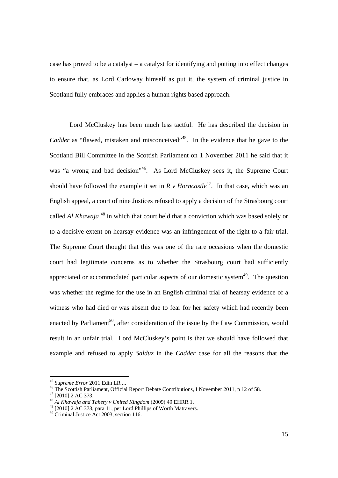case has proved to be a catalyst – a catalyst for identifying and putting into effect changes to ensure that, as Lord Carloway himself as put it, the system of criminal justice in Scotland fully embraces and applies a human rights based approach.

Lord McCluskey has been much less tactful. He has described the decision in *Cadder* as "flawed, mistaken and misconceived"<sup>45</sup>. In the evidence that he gave to the Scotland Bill Committee in the Scottish Parliament on 1 November 2011 he said that it was "a wrong and bad decision"<sup>46</sup>. As Lord McCluskey sees it, the Supreme Court should have followed the example it set in  $R \vee$  *Horncastle*<sup>47</sup>. In that case, which was an English appeal, a court of nine Justices refused to apply a decision of the Strasbourg court called *Al Khawaja* <sup>48</sup> in which that court held that a conviction which was based solely or to a decisive extent on hearsay evidence was an infringement of the right to a fair trial. The Supreme Court thought that this was one of the rare occasions when the domestic court had legitimate concerns as to whether the Strasbourg court had sufficiently appreciated or accommodated particular aspects of our domestic system<sup>49</sup>. The question was whether the regime for the use in an English criminal trial of hearsay evidence of a witness who had died or was absent due to fear for her safety which had recently been enacted by Parliament<sup>50</sup>, after consideration of the issue by the Law Commission, would result in an unfair trial. Lord McCluskey's point is that we should have followed that example and refused to apply *Salduz* in the *Cadder* case for all the reasons that the

<sup>&</sup>lt;sup>45</sup> Supreme Error 2011 Edin LR ...

<sup>&</sup>lt;sup>46</sup> The Scottish Parliament, Official Report Debate Contributions, I November 2011, p 12 of 58.

 $47$  [2010] 2 AC 373.

<sup>&</sup>lt;sup>48</sup> *Al Khawaja and Tahery v United Kingdom* (2009) 49 EHRR 1.<br><sup>49</sup> [2010] 2 AC 373, para 11, per Lord Phillips of Worth Matravers.

<sup>50</sup> Criminal Justice Act 2003, section 116.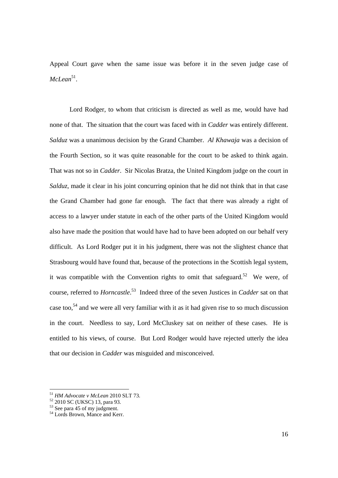Appeal Court gave when the same issue was before it in the seven judge case of *McLean*51.

Lord Rodger, to whom that criticism is directed as well as me, would have had none of that. The situation that the court was faced with in *Cadder* was entirely different. *Salduz* was a unanimous decision by the Grand Chamber. *Al Khawaja* was a decision of the Fourth Section, so it was quite reasonable for the court to be asked to think again. That was not so in *Cadder*. Sir Nicolas Bratza, the United Kingdom judge on the court in *Salduz*, made it clear in his joint concurring opinion that he did not think that in that case the Grand Chamber had gone far enough. The fact that there was already a right of access to a lawyer under statute in each of the other parts of the United Kingdom would also have made the position that would have had to have been adopted on our behalf very difficult. As Lord Rodger put it in his judgment, there was not the slightest chance that Strasbourg would have found that, because of the protections in the Scottish legal system, it was compatible with the Convention rights to omit that safeguard.<sup>52</sup> We were, of course, referred to *Horncastle*. 53 Indeed three of the seven Justices in *Cadder* sat on that case too,<sup>54</sup> and we were all very familiar with it as it had given rise to so much discussion in the court. Needless to say, Lord McCluskey sat on neither of these cases. He is entitled to his views, of course. But Lord Rodger would have rejected utterly the idea that our decision in *Cadder* was misguided and misconceived.

 $^{51}$  HM Advocate v McLean 2010 SLT 73.

*HM Advocate v McLean*<br><sup>52</sup> 2010 SC (UKSC) 13, para 93.

 $53$  See para 45 of my judgment.

<sup>54</sup> Lords Brown, Mance and Kerr.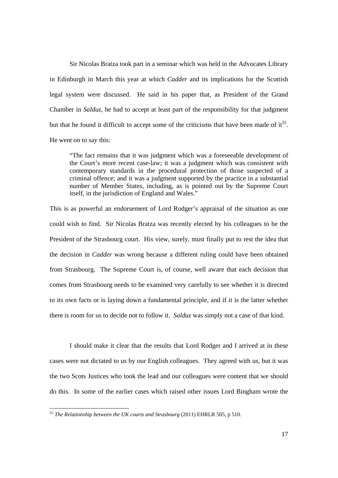Sir Nicolas Bratza took part in a seminar which was held in the Advocates Library in Edinburgh in March this year at which *Cadder* and its implications for the Scottish legal system were discussed. He said in his paper that, as President of the Grand Chamber in *Salduz*, he had to accept at least part of the responsibility for that judgment but that he found it difficult to accept some of the criticisms that have been made of  $it^{55}$ . He went on to say this:

"The fact remains that it was judgment which was a foreseeable development of the Court's more recent case-law; it was a judgment which was consistent with contemporary standards in the procedural protection of those suspected of a criminal offence; and it was a judgment supported by the practice in a substantial number of Member States, including, as is pointed out by the Supreme Court itself, in the jurisdiction of England and Wales."

This is as powerful an endorsement of Lord Rodger's appraisal of the situation as one could wish to find. Sir Nicolas Bratza was recently elected by his colleagues to be the President of the Strasbourg court. His view, surely, must finally put to rest the idea that the decision in *Cadder* was wrong because a different ruling could have been obtained from Strasbourg. The Supreme Court is, of course, well aware that each decision that comes from Strasbourg needs to be examined very carefully to see whether it is directed to its own facts or is laying down a fundamental principle, and if it is the latter whether there is room for us to decide not to follow it. *Salduz* was simply not a case of that kind.

I should make it clear that the results that Lord Rodger and I arrived at in these cases were not dictated to us by our English colleagues. They agreed with us, but it was the two Scots Justices who took the lead and our colleagues were content that we should do this. In some of the earlier cases which raised other issues Lord Bingham wrote the

 $\overline{a}$ 

<sup>55</sup> *The Relationship between the UK courts and Strasbourg* (2011) EHRLR 505, p 510.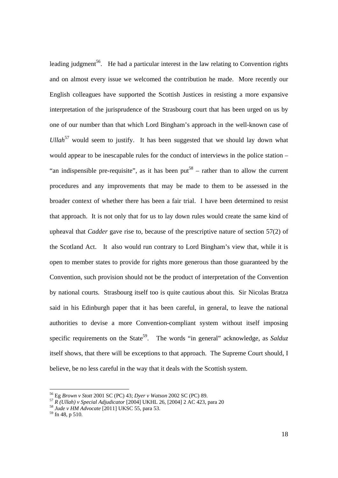leading judgment<sup>56</sup>. He had a particular interest in the law relating to Convention rights and on almost every issue we welcomed the contribution he made. More recently our English colleagues have supported the Scottish Justices in resisting a more expansive interpretation of the jurisprudence of the Strasbourg court that has been urged on us by one of our number than that which Lord Bingham's approach in the well-known case of *Ullah*<sup>57</sup> would seem to justify. It has been suggested that we should lay down what would appear to be inescapable rules for the conduct of interviews in the police station – "an indispensible pre-requisite", as it has been put<sup>58</sup> – rather than to allow the current procedures and any improvements that may be made to them to be assessed in the broader context of whether there has been a fair trial. I have been determined to resist that approach. It is not only that for us to lay down rules would create the same kind of upheaval that *Cadder* gave rise to, because of the prescriptive nature of section 57(2) of the Scotland Act. It also would run contrary to Lord Bingham's view that, while it is open to member states to provide for rights more generous than those guaranteed by the Convention, such provision should not be the product of interpretation of the Convention by national courts. Strasbourg itself too is quite cautious about this. Sir Nicolas Bratza said in his Edinburgh paper that it has been careful, in general, to leave the national authorities to devise a more Convention-compliant system without itself imposing specific requirements on the State<sup>59</sup>. The words "in general" acknowledge, as *Salduz* itself shows, that there will be exceptions to that approach. The Supreme Court should, I believe, be no less careful in the way that it deals with the Scottish system.

<sup>&</sup>lt;sup>56</sup> Eg *Brown v Stott* 2001 SC (PC) 43; *Dyer v Watson* 2002 SC (PC) 89.<br><sup>57</sup> R (Ullah) v Special Adjudicator [2004] UKHL 26, [2004] 2 AC 423, para 20<br><sup>58</sup> Jude v HM Advocate [2011] UKSC 55, para 53.<br><sup>59</sup> fn 48, p 510.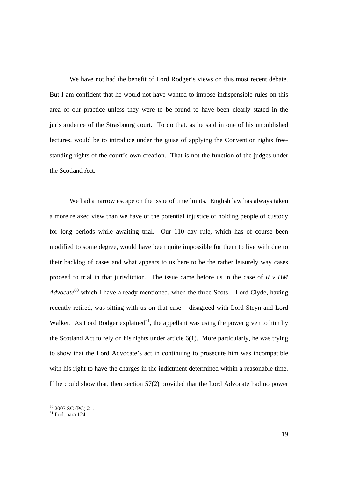We have not had the benefit of Lord Rodger's views on this most recent debate. But I am confident that he would not have wanted to impose indispensible rules on this area of our practice unless they were to be found to have been clearly stated in the jurisprudence of the Strasbourg court. To do that, as he said in one of his unpublished lectures, would be to introduce under the guise of applying the Convention rights freestanding rights of the court's own creation. That is not the function of the judges under the Scotland Act.

We had a narrow escape on the issue of time limits. English law has always taken a more relaxed view than we have of the potential injustice of holding people of custody for long periods while awaiting trial. Our 110 day rule, which has of course been modified to some degree, would have been quite impossible for them to live with due to their backlog of cases and what appears to us here to be the rather leisurely way cases proceed to trial in that jurisdiction. The issue came before us in the case of *R v HM Advocate*<sup>60</sup> which I have already mentioned, when the three Scots – Lord Clyde, having recently retired, was sitting with us on that case – disagreed with Lord Steyn and Lord Walker. As Lord Rodger explained<sup>61</sup>, the appellant was using the power given to him by the Scotland Act to rely on his rights under article 6(1). More particularly, he was trying to show that the Lord Advocate's act in continuing to prosecute him was incompatible with his right to have the charges in the indictment determined within a reasonable time. If he could show that, then section 57(2) provided that the Lord Advocate had no power

 $60$  2003 SC (PC) 21.

 $<sup>61</sup>$  Ibid, para 124.</sup>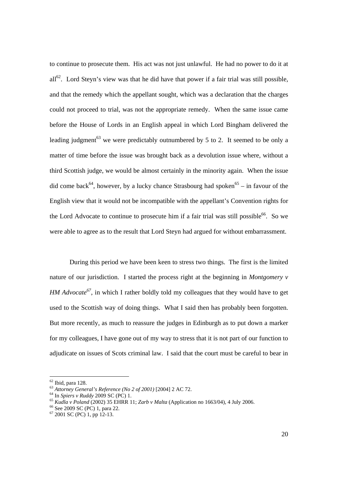to continue to prosecute them. His act was not just unlawful. He had no power to do it at  $all<sup>62</sup>$ . Lord Steyn's view was that he did have that power if a fair trial was still possible, and that the remedy which the appellant sought, which was a declaration that the charges could not proceed to trial, was not the appropriate remedy. When the same issue came before the House of Lords in an English appeal in which Lord Bingham delivered the leading judgment<sup>63</sup> we were predictably outnumbered by 5 to 2. It seemed to be only a matter of time before the issue was brought back as a devolution issue where, without a third Scottish judge, we would be almost certainly in the minority again. When the issue did come back<sup>64</sup>, however, by a lucky chance Strasbourg had spoken<sup>65</sup> – in favour of the English view that it would not be incompatible with the appellant's Convention rights for the Lord Advocate to continue to prosecute him if a fair trial was still possible<sup>66</sup>. So we were able to agree as to the result that Lord Steyn had argued for without embarrassment.

During this period we have been keen to stress two things. The first is the limited nature of our jurisdiction. I started the process right at the beginning in *Montgomery v HM Advocate*<sup>67</sup>, in which I rather boldly told my colleagues that they would have to get used to the Scottish way of doing things. What I said then has probably been forgotten. But more recently, as much to reassure the judges in Edinburgh as to put down a marker for my colleagues, I have gone out of my way to stress that it is not part of our function to adjudicate on issues of Scots criminal law. I said that the court must be careful to bear in

 $^{62}$  Ibid, para 128.<br> $^{63}$  Attorney General's Reference (No 2 of 2001) [2004] 2 AC 72.

Allottley General 3 Reference (10 2 by 2001) [2001] 21.00 1.21.<br>
<sup>64</sup> In *Spiers v Ruddy* 2009 SC (PC) 1.<br>
<sup>65</sup> *Kudla v Poland* (2002) 35 EHRR 11; *Zarb v Malta* (Application no 1663/04), 4 July 2006.

 $^{66}$  See 2009 SC (PC) 1, para 22.<br> $^{67}$  2001 SC (PC) 1, pp 12-13.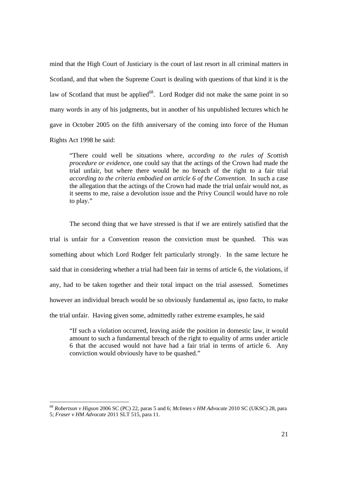mind that the High Court of Justiciary is the court of last resort in all criminal matters in Scotland, and that when the Supreme Court is dealing with questions of that kind it is the law of Scotland that must be applied<sup>68</sup>. Lord Rodger did not make the same point in so many words in any of his judgments, but in another of his unpublished lectures which he gave in October 2005 on the fifth anniversary of the coming into force of the Human Rights Act 1998 he said:

"There could well be situations where, *according to the rules of Scottish procedure or evidence*, one could say that the actings of the Crown had made the trial unfair, but where there would be no breach of the right to a fair trial *according to the criteria embodied on article 6 of the Convention.* In such a case the allegation that the actings of the Crown had made the trial unfair would not, as it seems to me, raise a devolution issue and the Privy Council would have no role to play."

The second thing that we have stressed is that if we are entirely satisfied that the trial is unfair for a Convention reason the conviction must be quashed. This was something about which Lord Rodger felt particularly strongly. In the same lecture he said that in considering whether a trial had been fair in terms of article 6, the violations, if any, had to be taken together and their total impact on the trial assessed. Sometimes however an individual breach would be so obviously fundamental as, ipso facto, to make the trial unfair. Having given some, admittedly rather extreme examples, he said

"If such a violation occurred, leaving aside the position in domestic law, it would amount to such a fundamental breach of the right to equality of arms under article 6 that the accused would not have had a fair trial in terms of article 6. Any conviction would obviously have to be quashed."

<sup>68</sup> *Robertson v Higson* 2006 SC (PC) 22, paras 5 and 6; *McInnes v HM Advocate* 2010 SC (UKSC) 28, para 5; *Fraser v HM Advocate* 2011 SLT 515, para 11.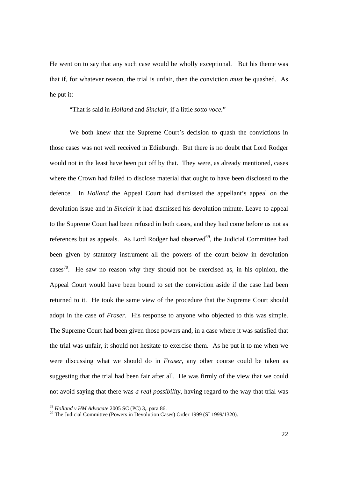He went on to say that any such case would be wholly exceptional. But his theme was that if, for whatever reason, the trial is unfair, then the conviction *must* be quashed. As he put it:

"That is said in *Holland* and *Sinclair*, if a little *sotto voce.*"

We both knew that the Supreme Court's decision to quash the convictions in those cases was not well received in Edinburgh. But there is no doubt that Lord Rodger would not in the least have been put off by that. They were, as already mentioned, cases where the Crown had failed to disclose material that ought to have been disclosed to the defence. In *Holland* the Appeal Court had dismissed the appellant's appeal on the devolution issue and in *Sinclair* it had dismissed his devolution minute. Leave to appeal to the Supreme Court had been refused in both cases, and they had come before us not as references but as appeals. As Lord Rodger had observed $^{69}$ , the Judicial Committee had been given by statutory instrument all the powers of the court below in devolution cases<sup>70</sup>. He saw no reason why they should not be exercised as, in his opinion, the Appeal Court would have been bound to set the conviction aside if the case had been returned to it. He took the same view of the procedure that the Supreme Court should adopt in the case of *Fraser.* His response to anyone who objected to this was simple. The Supreme Court had been given those powers and, in a case where it was satisfied that the trial was unfair, it should not hesitate to exercise them. As he put it to me when we were discussing what we should do in *Fraser*, any other course could be taken as suggesting that the trial had been fair after all. He was firmly of the view that we could not avoid saying that there was *a real possibility*, having regard to the way that trial was

<sup>&</sup>lt;sup>69</sup> *Holland v HM Advocate* 2005 SC (PC) 3,. para 86.<br><sup>70</sup> The Judicial Committee (Powers in Devolution Cases) Order 1999 (SI 1999/1320).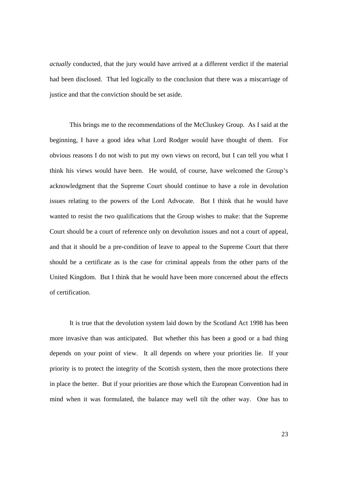*actually* conducted, that the jury would have arrived at a different verdict if the material had been disclosed. That led logically to the conclusion that there was a miscarriage of justice and that the conviction should be set aside.

This brings me to the recommendations of the McCluskey Group. As I said at the beginning, I have a good idea what Lord Rodger would have thought of them. For obvious reasons I do not wish to put my own views on record, but I can tell you what I think his views would have been. He would, of course, have welcomed the Group's acknowledgment that the Supreme Court should continue to have a role in devolution issues relating to the powers of the Lord Advocate. But I think that he would have wanted to resist the two qualifications that the Group wishes to make: that the Supreme Court should be a court of reference only on devolution issues and not a court of appeal, and that it should be a pre-condition of leave to appeal to the Supreme Court that there should be a certificate as is the case for criminal appeals from the other parts of the United Kingdom. But I think that he would have been more concerned about the effects of certification.

It is true that the devolution system laid down by the Scotland Act 1998 has been more invasive than was anticipated. But whether this has been a good or a bad thing depends on your point of view. It all depends on where your priorities lie. If your priority is to protect the integrity of the Scottish system, then the more protections there in place the better. But if your priorities are those which the European Convention had in mind when it was formulated, the balance may well tilt the other way. One has to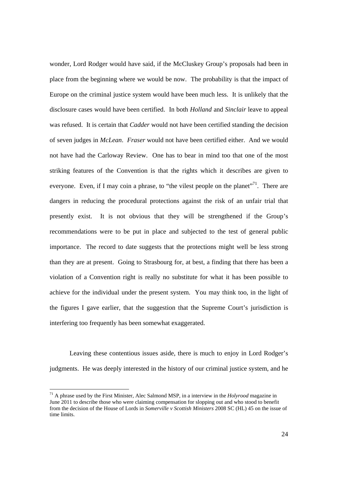wonder, Lord Rodger would have said, if the McCluskey Group's proposals had been in place from the beginning where we would be now. The probability is that the impact of Europe on the criminal justice system would have been much less. It is unlikely that the disclosure cases would have been certified. In both *Holland* and *Sinclair* leave to appeal was refused. It is certain that *Cadder* would not have been certified standing the decision of seven judges in *McLean*. *Fraser* would not have been certified either. And we would not have had the Carloway Review. One has to bear in mind too that one of the most striking features of the Convention is that the rights which it describes are given to everyone. Even, if I may coin a phrase, to "the vilest people on the planet"<sup>71</sup>. There are dangers in reducing the procedural protections against the risk of an unfair trial that presently exist. It is not obvious that they will be strengthened if the Group's recommendations were to be put in place and subjected to the test of general public importance. The record to date suggests that the protections might well be less strong than they are at present. Going to Strasbourg for, at best, a finding that there has been a violation of a Convention right is really no substitute for what it has been possible to achieve for the individual under the present system. You may think too, in the light of the figures I gave earlier, that the suggestion that the Supreme Court's jurisdiction is interfering too frequently has been somewhat exaggerated.

Leaving these contentious issues aside, there is much to enjoy in Lord Rodger's judgments. He was deeply interested in the history of our criminal justice system, and he

<sup>71</sup> A phrase used by the First Minister, Alec Salmond MSP, in a interview in the *Holyrood* magazine in June 2011 to describe those who were claiming compensation for slopping out and who stood to benefit from the decision of the House of Lords in *Somerville v Scottish Ministers* 2008 SC (HL) 45 on the issue of time limits.